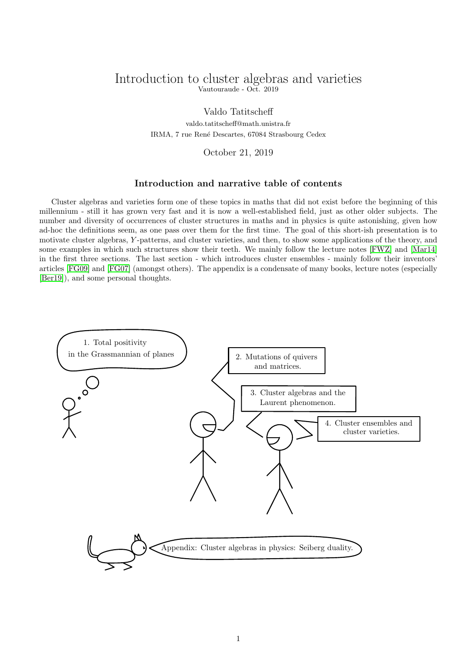## <span id="page-0-0"></span>Introduction to cluster algebras and varieties Vautouraude - Oct. 2019

Valdo Tatitscheff valdo.tatitscheff@math.unistra.fr IRMA, 7 rue Ren´e Descartes, 67084 Strasbourg Cedex

October 21, 2019

## Introduction and narrative table of contents

Cluster algebras and varieties form one of these topics in maths that did not exist before the beginning of this millennium - still it has grown very fast and it is now a well-established field, just as other older subjects. The number and diversity of occurrences of cluster structures in maths and in physics is quite astonishing, given how ad-hoc the definitions seem, as one pass over them for the first time. The goal of this short-ish presentation is to motivate cluster algebras, Y -patterns, and cluster varieties, and then, to show some applications of the theory, and some examples in which such structures show their teeth. We mainly follow the lecture notes [\[FWZ\]](#page-15-0) and [\[Mar14\]](#page-15-1) in the first three sections. The last section - which introduces cluster ensembles - mainly follow their inventors' articles [\[FG09\]](#page-15-2) and [\[FG07\]](#page-15-3) (amongst others). The appendix is a condensate of many books, lecture notes (especially [\[Ber19\]](#page-15-4)), and some personal thoughts.

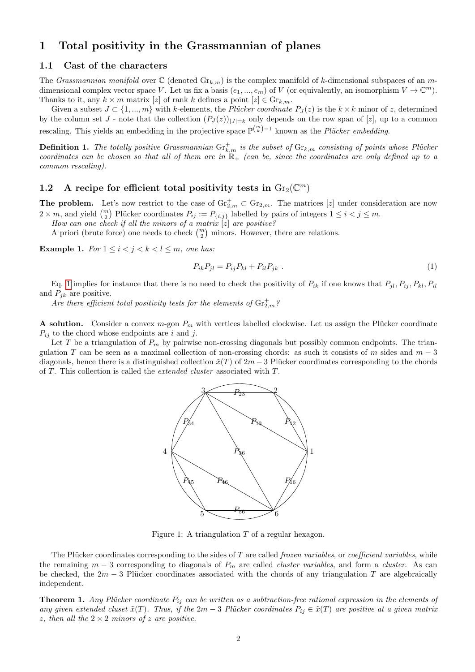# 1 Total positivity in the Grassmannian of planes

## 1.1 Cast of the characters

The Grassmannian manifold over  $\mathbb C$  (denoted  $\mathrm{Gr}_{k,m}$ ) is the complex manifold of k-dimensional subspaces of an mdimensional complex vector space V. Let us fix a basis  $(e_1, ..., e_m)$  of V (or equivalently, an isomorphism  $V \to \mathbb{C}^m$ ). Thanks to it, any  $k \times m$  matrix [z] of rank k defines a point  $[z] \in \mathrm{Gr}_{k,m}$ .

Given a subset  $J \subset \{1, ..., m\}$  with k-elements, the *Plücker coordinate*  $P_J(z)$  is the  $k \times k$  minor of z, determined by the column set J - note that the collection  $(P_J(z))_{|J|=k}$  only depends on the row span of [z], up to a common rescaling. This yields an embedding in the projective space  $\mathbb{P}^{\binom{m}{k}-1}$  known as the *Plücker embedding*.

**Definition 1.** The totally positive Grassmannian  $\mathrm{Gr}^+_{k,m}$  is the subset of  $\mathrm{Gr}_{k,m}$  consisting of points whose Plücker coordinates can be chosen so that all of them are in  $\mathbb{R}_+$  (can be, since the coordinates are only defined up to a common rescaling).

# 1.2 A recipe for efficient total positivity tests in  $\mathrm{Gr}_2(\mathbb{C}^m)$

**The problem.** Let's now restrict to the case of  $\mathrm{Gr}_{2,m}^{\dagger} \subset \mathrm{Gr}_{2,m}$ . The matrices [z] under consideration are now  $2 \times m$ , and yield  $\binom{m}{2}$  Plücker coordinates  $P_{ij} := P_{\{i,j\}}$  labelled by pairs of integers  $1 \leq i < j \leq m$ .

How can one check if all the minors of a matrix  $[z]$  are positive?

A priori (brute force) one needs to check  $\binom{m}{2}$  minors. However, there are relations.

Example 1. For  $1 \leq i \leq j \leq k \leq l \leq m$ , one has:

<span id="page-1-0"></span>
$$
P_{ik}P_{jl} = P_{ij}P_{kl} + P_{il}P_{jk} \tag{1}
$$

Eq. [1](#page-1-0) implies for instance that there is no need to check the positivity of  $P_{ik}$  if one knows that  $P_{jl}, P_{ij}, P_{kl}, P_{il}$ and  $P_{jk}$  are positive.

Are there efficient total positivity tests for the elements of  $\mathrm{Gr}^+_{2,m}$ ?

A solution. Consider a convex  $m$ -gon  $P_m$  with vertices labelled clockwise. Let us assign the Plücker coordinate  $P_{ij}$  to the chord whose endpoints are i and j.

Let T be a triangulation of  $P_m$  by pairwise non-crossing diagonals but possibly common endpoints. The triangulation T can be seen as a maximal collection of non-crossing chords: as such it consists of m sides and  $m-3$ diagonals, hence there is a distinguished collection  $\tilde{x}(T)$  of  $2m-3$  Plücker coordinates corresponding to the chords of T. This collection is called the extended cluster associated with T.



<span id="page-1-1"></span>Figure 1: A triangulation  $T$  of a regular hexagon.

The Plücker coordinates corresponding to the sides of T are called *frozen variables*, or *coefficient variables*, while the remaining  $m-3$  corresponding to diagonals of  $P_m$  are called *cluster variables*, and form a *cluster*. As can be checked, the  $2m-3$  Plücker coordinates associated with the chords of any triangulation T are algebraically independent.

**Theorem 1.** Any Plücker coordinate  $P_{ij}$  can be written as a subtraction-free rational expression in the elements of any given extended cluset  $\tilde{x}(T)$ . Thus, if the 2m – 3 Plücker coordinates  $P_{ij} \in \tilde{x}(T)$  are positive at a given matrix z, then all the  $2 \times 2$  minors of z are positive.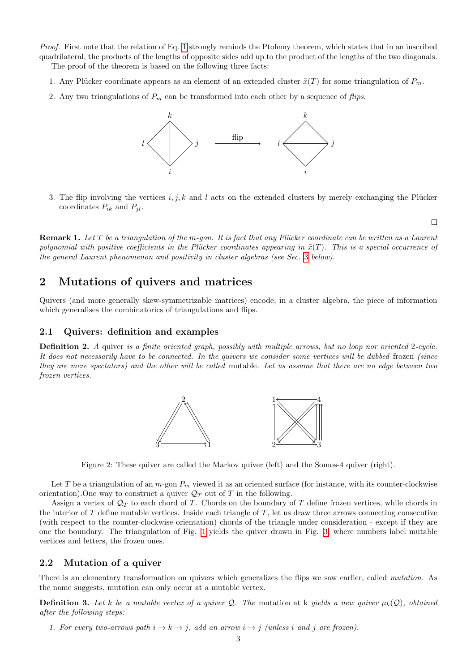Proof. First note that the relation of Eq. [1](#page-1-0) strongly reminds the Ptolemy theorem, which states that in an inscribed quadrilateral, the products of the lengths of opposite sides add up to the product of the lengths of the two diagonals. The proof of the theorem is based on the following three facts:

- 1. Any Plücker coordinate appears as an element of an extended cluster  $\tilde{x}(T)$  for some triangulation of  $P_m$ .
- 2. Any two triangulations of  $P_m$  can be transformed into each other by a sequence of flips.



3. The flip involving the vertices  $i, j, k$  and l acts on the extended clusters by merely exchanging the Plücker coordinates  $P_{ik}$  and  $P_{jl}$ .

 $\Box$ 

**Remark 1.** Let T be a triangulation of the m-gon. It is fact that any Plücker coordinate can be written as a Laurent polynomial with positive coefficients in the Plücker coordinates appearing in  $\tilde{x}(T)$ . This is a special occurrence of the general Laurent phenomenon and positivity in cluster algebras (see Sec. [3](#page-4-0) below).

# 2 Mutations of quivers and matrices

Quivers (and more generally skew-symmetrizable matrices) encode, in a cluster algebra, the piece of information which generalises the combinatorics of triangulations and flips.

### 2.1 Quivers: definition and examples

Definition 2. A quiver is a finite oriented graph, possibly with multiple arrows, but no loop nor oriented 2-cycle. It does not necessarily have to be connected. In the quivers we consider some vertices will be dubbed frozen (since they are mere spectators) and the other will be called mutable. Let us assume that there are no edge between two frozen vertices.



<span id="page-2-0"></span>Figure 2: These quiver are called the Markov quiver (left) and the Somos-4 quiver (right).

Let T be a triangulation of an  $m$ -gon  $P_m$  viewed it as an oriented surface (for instance, with its counter-clockwise orientation). One way to construct a quiver  $\mathcal{Q}_T$  out of T in the following.

Assign a vertex of  $\mathcal{Q}_T$  to each chord of T. Chords on the boundary of T define frozen vertices, while chords in the interior of  $T$  define mutable vertices. Inside each triangle of  $T$ , let us draw three arrows connecting consecutive (with respect to the counter-clockwise orientation) chords of the triangle under consideration - except if they are one the boundary. The triangulation of Fig. [1](#page-1-1) yields the quiver drawn in Fig. [3,](#page-3-0) where numbers label mutable vertices and letters, the frozen ones.

## 2.2 Mutation of a quiver

There is an elementary transformation on quivers which generalizes the flips we saw earlier, called *mutation*. As the name suggests, mutation can only occur at a mutable vertex.

**Definition 3.** Let k be a mutable vertex of a quiver Q. The mutation at k yields a new quiver  $\mu_k(Q)$ , obtained after the following steps:

1. For every two-arrows path  $i \to k \to j$ , add an arrow  $i \to j$  (unless i and j are frozen).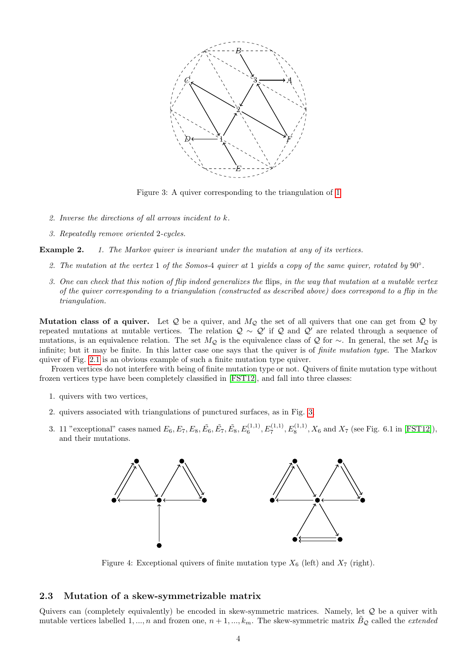

<span id="page-3-0"></span>Figure 3: A quiver corresponding to the triangulation of [1](#page-1-1)

- 2. Inverse the directions of all arrows incident to k.
- 3. Repeatedly remove oriented 2-cycles.

**Example 2.** 1. The Markov quiver is invariant under the mutation at any of its vertices.

- 2. The mutation at the vertex 1 of the Somos-4 quiver at 1 yields a copy of the same quiver, rotated by 90°.
- 3. One can check that this notion of flip indeed generalizes the flips, in the way that mutation at a mutable vertex of the quiver corresponding to a triangulation (constructed as described above) does correspond to a flip in the triangulation.

**Mutation class of a quiver.** Let Q be a quiver, and  $M_{\mathcal{Q}}$  the set of all quivers that one can get from Q by repeated mutations at mutable vertices. The relation  $Q \sim Q'$  if Q and  $Q'$  are related through a sequence of mutations, is an equivalence relation. The set  $M_Q$  is the equivalence class of Q for ∼. In general, the set  $M_Q$  is infinite; but it may be finite. In this latter case one says that the quiver is of finite mutation type. The Markov quiver of Fig. [2.1](#page-2-0) is an obvious example of such a finite mutation type quiver.

Frozen vertices do not interfere with being of finite mutation type or not. Quivers of finite mutation type without frozen vertices type have been completely classified in [\[FST12\]](#page-15-5), and fall into three classes:

- 1. quivers with two vertices,
- 2. quivers associated with triangulations of punctured surfaces, as in Fig. [3,](#page-3-0)
- 3. 11 "exceptional" cases named  $E_6, E_7, E_8, \tilde{E_6}, \tilde{E_7}, \tilde{E_8}, E_6^{(1,1)}, E_7^{(1,1)}, E_8^{(1,1)}, X_6$  and  $X_7$  (see Fig. 6.1 in [\[FST12\]](#page-15-5)), and their mutations.



Figure 4: Exceptional quivers of finite mutation type  $X_6$  (left) and  $X_7$  (right).

### 2.3 Mutation of a skew-symmetrizable matrix

Quivers can (completely equivalently) be encoded in skew-symmetric matrices. Namely, let Q be a quiver with mutable vertices labelled 1, ..., n and frozen one,  $n + 1, ..., k_m$ . The skew-symmetric matrix  $B_{\mathcal{Q}}$  called the *extended*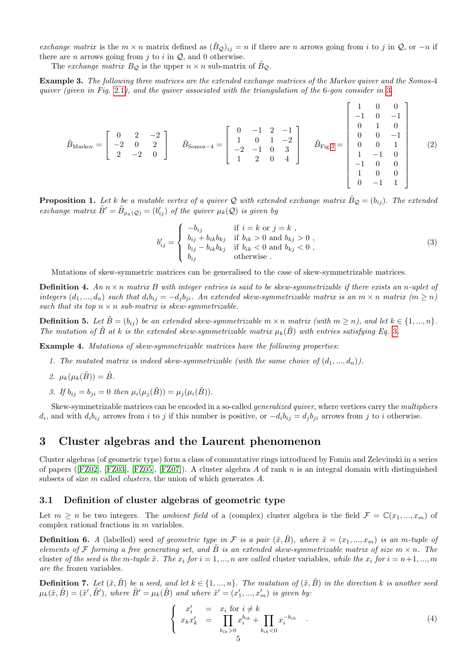exchange matrix is the  $m \times n$  matrix defined as  $(\tilde{B}_{\mathcal{Q}})_{ij} = n$  if there are n arrows going from i to j in  $\mathcal{Q}$ , or  $-n$  if there are *n* arrows going from  $j$  to  $i$  in  $Q$ , and 0 otherwise.

The exchange matrix  $B_{\mathcal{Q}}$  is the upper  $n \times n$  sub-matrix of  $\tilde{B}_{\mathcal{Q}}$ .

Example 3. The following three matrices are the extended exchange matrices of the Markov quiver and the Somos-4 quiver (given in Fig. [2.1](#page-2-0)), and the quiver associated with the triangulation of the 6-gon consider in [3](#page-3-0).

$$
\tilde{B}_{\text{Markov}} = \begin{bmatrix} 0 & 2 & -2 \\ -2 & 0 & 2 \\ 2 & -2 & 0 \end{bmatrix} \quad \tilde{B}_{\text{Somos}-4} = \begin{bmatrix} 0 & -1 & 2 & -1 \\ 1 & 0 & 1 & -2 \\ -2 & -1 & 0 & 3 \\ 1 & 2 & 0 & 4 \end{bmatrix} \quad \tilde{B}_{\text{Fig.3}} = \begin{bmatrix} 1 & 0 & 0 \\ -1 & 0 & -1 \\ 0 & 1 & 0 \\ 0 & 0 & 1 \\ 1 & -1 & 0 \\ -1 & 0 & 0 \\ 0 & -1 & 1 \end{bmatrix} \quad (2)
$$

**Proposition 1.** Let k be a mutable vertex of a quiver Q with extended exchange matrix  $\tilde{B}_{\mathcal{Q}} = (b_{ij})$ . The extended exchange matrix  $\tilde{B}' = \tilde{B}_{\mu_k(Q)} = (b'_{ij})$  of the quiver  $\mu_k(Q)$  is given by

<span id="page-4-1"></span>
$$
b'_{ij} = \begin{cases} -b_{ij} & \text{if } i = k \text{ or } j = k ,\\ b_{ij} + b_{ik}b_{kj} & \text{if } b_{ik} > 0 \text{ and } b_{kj} > 0 ,\\ b_{ij} - b_{ik}b_{kj} & \text{if } b_{ik} < 0 \text{ and } b_{kj} < 0 ,\\ b_{ij} & \text{otherwise} . \end{cases}
$$
(3)

Mutations of skew-symmetric matrices can be generalised to the case of skew-symmetrizable matrices.

**Definition 4.** An  $n \times n$  matrix B with integer entries is said to be skew-symmetrizable if there exists an n-uplet of integers  $(d_1, ..., d_n)$  such that  $d_i b_{ij} = -d_j b_{ji}$ . An extended skew-symmetrizable matrix is an  $m \times n$  matrix  $(m \ge n)$ such that its top  $n \times n$  sub-matrix is skew-symmetrizable.

**Definition 5.** Let  $\tilde{B} = (b_{ij})$  be an extended skew-symmetrizable  $m \times n$  matrix (with  $m \geq n$ ), and let  $k \in \{1, ..., n\}$ . The mutation of  $\ddot{B}$  at k is the extended skew-symmetrizable matrix  $\mu_k(\dot{B})$  with entries satisfying Eq. [3](#page-4-1).

Example 4. Mutations of skew-symmetrizable matrices have the following properties:

- 1. The mutated matrix is indeed skew-symmetrizable (with the same choice of  $(d_1, ..., d_n)$ ).
- 2.  $\mu_k(\mu_k(\tilde{B})) = \tilde{B}$ .
- 3. If  $b_{ij} = b_{ji} = 0$  then  $\mu_i(\mu_i(\tilde{B})) = \mu_i(\mu_i(\tilde{B})).$

Skew-symmetrizable matrices can be encoded in a so-called *generalized quiver*, where vertices carry the *multipliers*  $d_i$ , and with  $d_i b_{ij}$  arrows from i to j if this number is positive, or  $-d_i b_{ij} = d_j b_{ji}$  arrows from j to i otherwise.

# <span id="page-4-0"></span>3 Cluster algebras and the Laurent phenomenon

Cluster algebras (of geometric type) form a class of commutative rings introduced by Fomin and Zelevinski in a series of papers ([\[FZ02\]](#page-15-6), [\[FZ03\]](#page-15-7), [\[FZ05\]](#page-15-8), [\[FZ07\]](#page-15-9)). A cluster algebra A of rank n is an integral domain with distinguished subsets of size m called clusters, the union of which generates A.

### 3.1 Definition of cluster algebras of geometric type

Let  $m \geq n$  be two integers. The *ambient field* of a (complex) cluster algebra is the field  $\mathcal{F} = \mathbb{C}(x_1, ..., x_m)$  of complex rational fractions in m variables.

**Definition 6.** A (labelled) seed of geometric type in F is a pair  $(\tilde{x}, \tilde{B})$ , where  $\tilde{x} = (x_1, ..., x_m)$  is an m-tuple of elements of F forming a free generating set, and  $\tilde{B}$  is an extended skew-symmetrizable matrix of size  $m \times n$ . The cluster of the seed is the m-tuple  $\tilde{x}$ . The  $x_i$  for  $i = 1, ..., n$  are called cluster variables, while the  $x_i$  for  $i = n+1, ..., m$ are the frozen variables.

**Definition 7.** Let  $(\tilde{x}, \tilde{B})$  be a seed, and let  $k \in \{1, ..., n\}$ . The mutation of  $(\tilde{x}, \tilde{B})$  in the direction k is another seed  $\mu_k(\tilde{x}, \tilde{B}) = (\tilde{x}', \tilde{B}')$ , where  $\tilde{B}' = \mu_k(\tilde{B})$  and where  $\tilde{x}' = (x'_1, ..., x'_m)$  is given by:

<span id="page-4-2"></span>
$$
\begin{cases}\n x_i' & = x_i \text{ for } i \neq k \\
 x_k x_k' & = \prod_{b_{ik} > 0} x_i^{b_{ik}} + \prod_{b_{ik} < 0} x_i^{-b_{ik}} \\
 5\n\end{cases} .
$$
\n(4)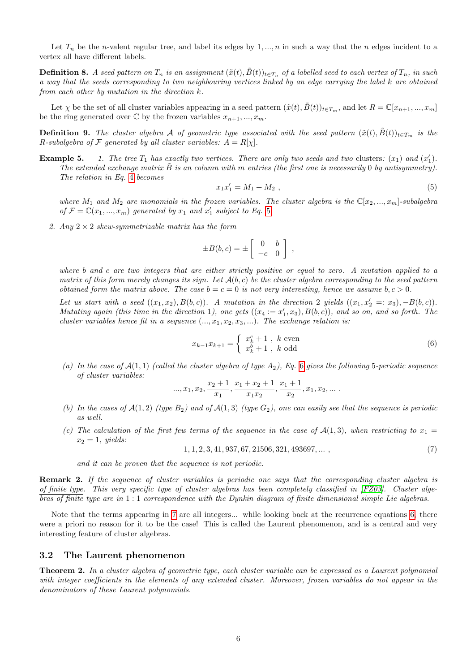Let  $T_n$  be the n-valent regular tree, and label its edges by 1, ..., n in such a way that the n edges incident to a vertex all have different labels.

**Definition 8.** A seed pattern on  $T_n$  is an assignment  $(\tilde{x}(t), \tilde{B}(t))_{t \in T_n}$  of a labelled seed to each vertex of  $T_n$ , in such a way that the seeds corresponding to two neighbouring vertices linked by an edge carrying the label k are obtained from each other by mutation in the direction k.

Let  $\chi$  be the set of all cluster variables appearing in a seed pattern  $(\tilde{x}(t), B(t))_{t \in T_m}$ , and let  $R = \mathbb{C}[x_{n+1},...,x_m]$ be the ring generated over  $\mathbb C$  by the frozen variables  $x_{n+1},..., x_m$ .

**Definition 9.** The cluster algebra A of geometric type associated with the seed pattern  $(\tilde{x}(t), \tilde{B}(t))_{t \in T_m}$  is the R-subalgebra of F generated by all cluster variables:  $A = R[\chi]$ .

**Example 5.** 1. The tree  $T_1$  has exactly two vertices. There are only two seeds and two clusters:  $(x_1)$  and  $(x'_1)$ . The extended exchange matrix  $\ddot{B}$  is an column with m entries (the first one is necessarily 0 by antisymmetry). The relation in Eq. [4](#page-4-2) becomes

<span id="page-5-0"></span>
$$
x_1 x_1' = M_1 + M_2 \t\t(5)
$$

where  $M_1$  and  $M_2$  are monomials in the frozen variables. The cluster algebra is the  $\mathbb{C}[x_2, ..., x_m]$ -subalgebra of  $\mathcal{F} = \mathbb{C}(x_1, ..., x_m)$  generated by  $x_1$  and  $x'_1$  subject to Eq. [5](#page-5-0).

2. Any  $2 \times 2$  skew-symmetrizable matrix has the form

$$
\pm B(b,c) = \pm \left[ \begin{array}{cc} 0 & b \\ -c & 0 \end{array} \right]
$$

where b and c are two integers that are either strictly positive or equal to zero. A mutation applied to a matrix of this form merely changes its sign. Let  $A(b, c)$  be the cluster algebra corresponding to the seed pattern obtained form the matrix above. The case  $b = c = 0$  is not very interesting, hence we assume  $b, c > 0$ .

Let us start with a seed  $((x_1, x_2), B(b, c))$ . A mutation in the direction 2 yields  $((x_1, x_2' =: x_3), -B(b, c))$ . Mutating again (this time in the direction 1), one gets  $((x_4 := x'_1, x_3), B(b, c))$ , and so on, and so forth. The cluster variables hence fit in a sequence  $(..., x_1, x_2, x_3, ...)$ . The exchange relation is:

<span id="page-5-1"></span>
$$
x_{k-1}x_{k+1} = \begin{cases} x_k^c + 1, & k \text{ even} \\ x_k^b + 1, & k \text{ odd} \end{cases}
$$
 (6)

,

(a) In the case of  $\mathcal{A}(1,1)$  (called the cluster algebra of type  $A_2$ ), Eq. [6](#page-5-1) gives the following 5-periodic sequence of cluster variables:

..., 
$$
x_1
$$
,  $x_2$ ,  $\frac{x_2+1}{x_1}$ ,  $\frac{x_1+x_2+1}{x_1x_2}$ ,  $\frac{x_1+1}{x_2}$ ,  $x_1$ ,  $x_2$ , ...

- (b) In the cases of  $\mathcal{A}(1,2)$  (type  $B_2$ ) and of  $\mathcal{A}(1,3)$  (type  $G_2$ ), one can easily see that the sequence is periodic as well.
- (c) The calculation of the first few terms of the sequence in the case of  $\mathcal{A}(1,3)$ , when restricting to  $x_1 =$  $x_2 = 1$ , yields:

<span id="page-5-2"></span>
$$
1, 1, 2, 3, 41, 937, 67, 21506, 321, 493697, \dots \tag{7}
$$

and it can be proven that the sequence is not periodic.

Remark 2. If the sequence of cluster variables is periodic one says that the corresponding cluster algebra is of finite type. This very specific type of cluster algebras has been completely classified in [\[FZ03\]](#page-15-7). Cluster algebras of finite type are in 1 : 1 correspondence with the Dynkin diagram of finite dimensional simple Lie algebras.

Note that the terms appearing in [7](#page-5-2) are all integers... while looking back at the recurrence equations [6,](#page-5-1) there were a priori no reason for it to be the case! This is called the Laurent phenomenon, and is a central and very interesting feature of cluster algebras.

### 3.2 The Laurent phenomenon

<span id="page-5-3"></span>Theorem 2. In a cluster algebra of geometric type, each cluster variable can be expressed as a Laurent polynomial with integer coefficients in the elements of any extended cluster. Moreover, frozen variables do not appear in the denominators of these Laurent polynomials.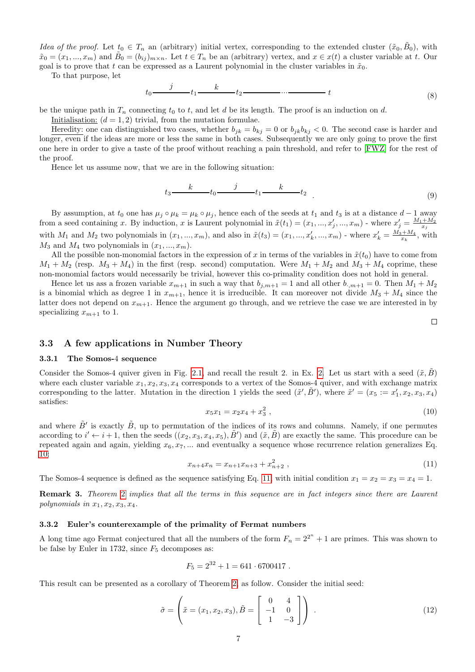Idea of the proof. Let  $t_0 \in T_n$  an (arbitrary) initial vertex, corresponding to the extended cluster  $(\tilde{x}_0, \tilde{B}_0)$ , with  $\tilde{x}_0 = (x_1, ..., x_m)$  and  $\tilde{B}_0 = (b_{ij})_{m \times n}$ . Let  $t \in T_n$  be an (arbitrary) vertex, and  $x \in x(t)$  a cluster variable at t. Our goal is to prove that t can be expressed as a Laurent polynomial in the cluster variables in  $\tilde{x}_0$ .

To that purpose, let

$$
t_0 \xrightarrow{\qquad j} t_1 \xrightarrow{k} t_2 \xrightarrow{\qquad \qquad \cdots} t \tag{8}
$$

be the unique path in  $T_n$  connecting  $t_0$  to t, and let d be its length. The proof is an induction on d.

Initialisation:  $(d = 1, 2)$  trivial, from the mutation formulae.

Heredity: one can distinguished two cases, whether  $b_{jk} = b_{kj} = 0$  or  $b_{jk}b_{kj} < 0$ . The second case is harder and longer, even if the ideas are more or less the same in both cases. Subsequently we are only going to prove the first one here in order to give a taste of the proof without reaching a pain threshold, and refer to [\[FWZ\]](#page-15-0) for the rest of the proof.

Hence let us assume now, that we are in the following situation:

$$
t_3 \xrightarrow{k} t_0 \xrightarrow{j} t_1 \xrightarrow{k} t_2 \tag{9}
$$

By assumption, at  $t_0$  one has  $\mu_j \circ \mu_k = \mu_k \circ \mu_j$ , hence each of the seeds at  $t_1$  and  $t_3$  is at a distance  $d-1$  away from a seed containing x. By induction, x is Laurent polynomial in  $\tilde{x}(t_1) = (x_1, ..., x'_j, ..., x_m)$  - where  $x'_j = \frac{M_1 + M_2}{x_j}$ with  $M_1$  and  $M_2$  two polynomials in  $(x_1, ..., x_m)$ , and also in  $\tilde{x}(t_3) = (x_1, ..., x'_k, ..., x_m)$  - where  $x'_k = \frac{M_3 + M_4}{x_k}$ , with  $M_3$  and  $M_4$  two polynomials in  $(x_1, ..., x_m)$ .

All the possible non-monomial factors in the expression of x in terms of the variables in  $\tilde{x}(t_0)$  have to come from  $M_1 + M_2$  (resp.  $M_3 + M_4$ ) in the first (resp. second) computation. Were  $M_1 + M_2$  and  $M_3 + M_4$  coprime, these non-monomial factors would necessarily be trivial, however this co-primality condition does not hold in general.

Hence let us ass a frozen variable  $x_{m+1}$  in such a way that  $b_{j,m+1} = 1$  and all other  $b_{j,m+1} = 0$ . Then  $M_1 + M_2$ is a binomial which as degree 1 in  $x_{m+1}$ , hence it is irreducible. It can moreover not divide  $M_3 + M_4$  since the latter does not depend on  $x_{m+1}$ . Hence the argument go through, and we retrieve the case we are interested in by specializing  $x_{m+1}$  to 1.

# 3.3 A few applications in Number Theory

#### 3.3.1 The Somos-4 sequence

Consider the Somos-4 quiver given in Fig. [2.1,](#page-2-0) and recall the result [2.](#page-0-0) in Ex. 2. Let us start with a seed  $(\tilde{x}, \tilde{B})$ where each cluster variable  $x_1, x_2, x_3, x_4$  corresponds to a vertex of the Somos-4 quiver, and with exchange matrix corresponding to the latter. Mutation in the direction 1 yields the seed  $(\tilde{x}', \tilde{B}')$ , where  $\tilde{x}' = (x_5 := x'_1, x_2, x_3, x_4)$ satisfies:

<span id="page-6-0"></span>
$$
x_5x_1 = x_2x_4 + x_3^2 \t\t(10)
$$

 $\Box$ 

and where  $\tilde{B}'$  is exactly  $\tilde{B}$ , up to permutation of the indices of its rows and columns. Namely, if one permutes according to  $i' \leftarrow i+1$ , then the seeds  $((x_2, x_3, x_4, x_5), \tilde{B}')$  and  $(\tilde{x}, \tilde{B})$  are exactly the same. This procedure can be repeated again and again, yielding  $x_6, x_7, \ldots$  and eventually a sequence whose recurrence relation generalizes Eq. [10:](#page-6-0)

<span id="page-6-1"></span>
$$
x_{n+4}x_n = x_{n+1}x_{n+3} + x_{n+2}^2 \t{11}
$$

The Somos-4 sequence is defined as the sequence satisfying Eq. [11,](#page-6-1) with initial condition  $x_1 = x_2 = x_3 = x_4 = 1$ .

Remark 3. Theorem [2](#page-5-3) implies that all the terms in this sequence are in fact integers since there are Laurent polynomials in  $x_1, x_2, x_3, x_4$ .

#### 3.3.2 Euler's counterexample of the primality of Fermat numbers

A long time ago Fermat conjectured that all the numbers of the form  $F_n = 2^{2^n} + 1$  are primes. This was shown to be false by Euler in 1732, since  $F_5$  decomposes as:

$$
F_5 = 2^{32} + 1 = 641 \cdot 6700417.
$$

This result can be presented as a corollary of Theorem [2,](#page-5-3) as follow. Consider the initial seed:

$$
\tilde{\sigma} = \left(\tilde{x} = (x_1, x_2, x_3), \tilde{B} = \begin{bmatrix} 0 & 4 \\ -1 & 0 \\ 1 & -3 \end{bmatrix}\right) . \tag{12}
$$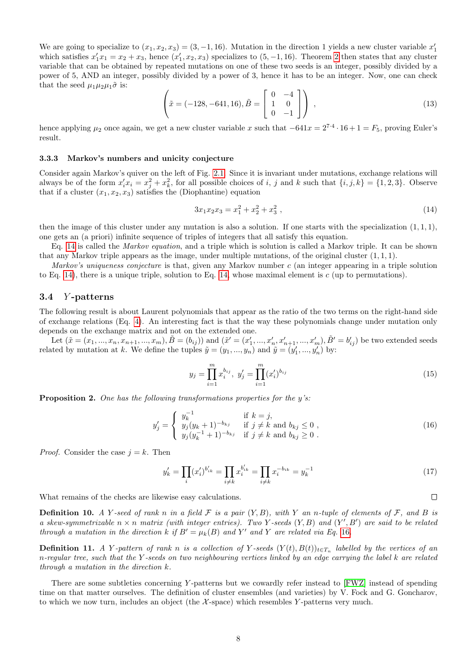We are going to specialize to  $(x_1, x_2, x_3) = (3, -1, 16)$ . Mutation in the direction 1 yields a new cluster variable  $x'_1$ which satisfies  $x_1' x_1 = x_2 + x_3$ , hence  $(x_1', x_2, x_3)$  specializes to  $(5, -1, 16)$ . Theorem [2](#page-5-3) then states that any cluster variable that can be obtained by repeated mutations on one of these two seeds is an integer, possibly divided by a power of 5, AND an integer, possibly divided by a power of 3, hence it has to be an integer. Now, one can check that the seed  $\mu_1\mu_2\mu_1\tilde{\sigma}$  is:

$$
\left(\tilde{x} = (-128, -641, 16), \tilde{B} = \begin{bmatrix} 0 & -4 \\ 1 & 0 \\ 0 & -1 \end{bmatrix}\right) ,
$$
\n(13)

hence applying  $\mu_2$  once again, we get a new cluster variable x such that  $-641x = 2^{7\cdot 4} \cdot 16 + 1 = F_5$ , proving Euler's result.

#### 3.3.3 Markov's numbers and unicity conjecture

Consider again Markov's quiver on the left of Fig. [2.1.](#page-2-0) Since it is invariant under mutations, exchange relations will always be of the form  $x'_i x_i = x_j^2 + x_k^2$ , for all possible choices of i, j and k such that  $\{i, j, k\} = \{1, 2, 3\}$ . Observe that if a cluster  $(x_1, x_2, x_3)$  satisfies the (Diophantine) equation

<span id="page-7-0"></span>
$$
3x_1x_2x_3 = x_1^2 + x_2^2 + x_3^2 \t\t(14)
$$

then the image of this cluster under any mutation is also a solution. If one starts with the specialization  $(1, 1, 1)$ , one gets an (a priori) infinite sequence of triples of integers that all satisfy this equation.

Eq. [14](#page-7-0) is called the Markov equation, and a triple which is solution is called a Markov triple. It can be shown that any Markov triple appears as the image, under multiple mutations, of the original cluster  $(1, 1, 1)$ .

Markov's uniqueness conjecture is that, given any Markov number c (an integer appearing in a triple solution to Eq. [14\)](#page-7-0), there is a unique triple, solution to Eq. [14,](#page-7-0) whose maximal element is  $c$  (up to permutations).

### 3.4 Y -patterns

The following result is about Laurent polynomials that appear as the ratio of the two terms on the right-hand side of exchange relations (Eq. [4\)](#page-4-2). An interesting fact is that the way these polynomials change under mutation only depends on the exchange matrix and not on the extended one.

Let  $(\tilde{x} = (x_1, ..., x_n, x_{n+1}, ..., x_m), \tilde{B} = (b_{ij})$  and  $(\tilde{x}' = (x'_1, ..., x'_n, x'_{n+1}, ..., x'_m), \tilde{B}' = b'_{ij})$  be two extended seeds related by mutation at k. We define the tuples  $\tilde{y} = (y_1, ..., y_n)$  and  $\tilde{y} = (y'_1, ..., y'_n)$  by:

$$
y_j = \prod_{i=1}^{m} x_i^{b_{ij}}, \ y'_j = \prod_{i=1}^{m} (x'_i)^{b_{ij}}
$$
\n(15)

**Proposition 2.** One has the following transformations properties for the  $y$ 's:

<span id="page-7-1"></span>
$$
y'_{j} = \begin{cases} y_{k}^{-1} & \text{if } k = j, \\ y_{j}(y_{k}+1)^{-b_{kj}} & \text{if } j \neq k \text{ and } b_{kj} \leq 0, \\ y_{j}(y_{k}^{-1}+1)^{-b_{kj}} & \text{if } j \neq k \text{ and } b_{kj} \geq 0. \end{cases}
$$
 (16)

*Proof.* Consider the case  $i = k$ . Then

$$
y'_{k} = \prod_{i} (x'_{i})^{b'_{ik}} = \prod_{i \neq k} x_{i}^{b'_{ik}} = \prod_{i \neq k} x_{i}^{-b_{ik}} = y_{k}^{-1}
$$
\n(17)

What remains of the checks are likewise easy calculations.

**Definition 10.** A Y-seed of rank n in a field  $\mathcal F$  is a pair  $(Y, B)$ , with Y an n-tuple of elements of  $\mathcal F$ , and B is a skew-symmetrizable  $n \times n$  matrix (with integer entries). Two Y-seeds  $(Y, B)$  and  $(Y', B')$  are said to be related through a mutation in the direction k if  $B' = \mu_k(B)$  and Y' and Y' are related via Eq. [16](#page-7-1).

**Definition 11.** A Y-pattern of rank n is a collection of Y-seeds  $(Y(t), B(t))_{t \in T_n}$  labelled by the vertices of an n-regular tree, such that the Y -seeds on two neighbouring vertices linked by an edge carrying the label k are related through a mutation in the direction k.

There are some subtleties concerning Y-patterns but we cowardly refer instead to [\[FWZ\]](#page-15-0) instead of spending time on that matter ourselves. The definition of cluster ensembles (and varieties) by V. Fock and G. Goncharov, to which we now turn, includes an object (the  $\mathcal{X}\text{-space}$ ) which resembles Y-patterns very much.

 $\Box$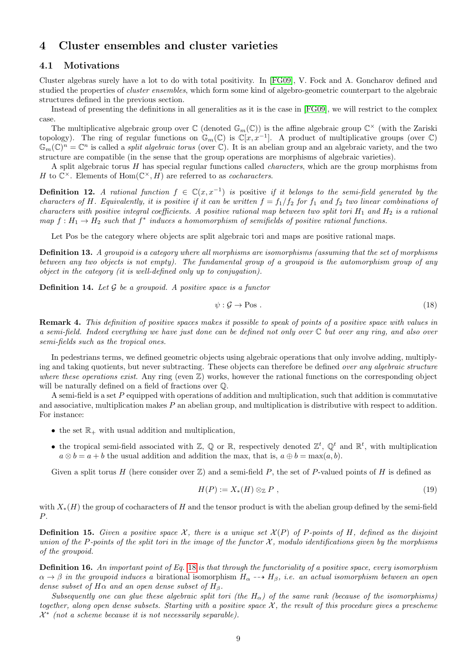# 4 Cluster ensembles and cluster varieties

## 4.1 Motivations

Cluster algebras surely have a lot to do with total positivity. In [\[FG09\]](#page-15-2), V. Fock and A. Goncharov defined and studied the properties of *cluster ensembles*, which form some kind of algebro-geometric counterpart to the algebraic structures defined in the previous section.

Instead of presenting the definitions in all generalities as it is the case in [\[FG09\]](#page-15-2), we will restrict to the complex case.

The multiplicative algebraic group over  $\mathbb{C}$  (denoted  $\mathbb{G}_m(\mathbb{C})$ ) is the affine algebraic group  $\mathbb{C}^\times$  (with the Zariski topology). The ring of regular functions on  $\mathbb{G}_m(\mathbb{C})$  is  $\mathbb{C}[x,x^{-1}]$ . A product of multiplicative groups (over  $\mathbb{C}$ )  $\mathbb{G}_m(\mathbb{C})^n=\mathbb{C}^n$  is called a *split algebraic torus* (over  $\mathbb{C}$ ). It is an abelian group and an algebraic variety, and the two structure are compatible (in the sense that the group operations are morphisms of algebraic varieties).

A split algebraic torus H has special regular functions called characters, which are the group morphisms from H to  $\mathbb{C}^{\times}$ . Elements of Hom $(\mathbb{C}^{\times}, H)$  are referred to as *cocharacters*.

**Definition 12.** A rational function  $f \in \mathbb{C}(x, x^{-1})$  is positive if it belongs to the semi-field generated by the characters of H. Equivalently, it is positive if it can be written  $f = f_1/f_2$  for  $f_1$  and  $f_2$  two linear combinations of characters with positive integral coefficients. A positive rational map between two split tori  $H_1$  and  $H_2$  is a rational map  $f: H_1 \to H_2$  such that  $f^*$  induces a homomorphism of semifields of positive rational functions.

Let Pos be the category where objects are split algebraic tori and maps are positive rational maps.

Definition 13. A groupoid is a category where all morphisms are isomorphisms (assuming that the set of morphisms between any two objects is not empty). The fundamental group of a groupoid is the automorphism group of any object in the category (it is well-defined only up to conjugation).

**Definition 14.** Let  $\mathcal G$  be a groupoid. A positive space is a functor

<span id="page-8-0"></span>
$$
\psi : \mathcal{G} \to \text{Pos} \tag{18}
$$

Remark 4. This definition of positive spaces makes it possible to speak of points of a positive space with values in a semi-field. Indeed everything we have just done can be defined not only over  $\mathbb C$  but over any ring, and also over semi-fields such as the tropical ones.

In pedestrians terms, we defined geometric objects using algebraic operations that only involve adding, multiplying and taking quotients, but never subtracting. These objects can therefore be defined over any algebraic structure where these operations exist. Any ring (even  $\mathbb{Z}$ ) works, however the rational functions on the corresponding object will be naturally defined on a field of fractions over Q.

A semi-field is a set P equipped with operations of addition and multiplication, such that addition is commutative and associative, multiplication makes P an abelian group, and multiplication is distributive with respect to addition. For instance:

- the set  $\mathbb{R}_+$  with usual addition and multiplication,
- the tropical semi-field associated with  $\mathbb{Z}, \mathbb{Q}$  or  $\mathbb{R}$ , respectively denoted  $\mathbb{Z}^t, \mathbb{Q}^t$  and  $\mathbb{R}^t$ , with multiplication  $a \otimes b = a + b$  the usual addition and addition the max, that is,  $a \oplus b = \max(a, b)$ .

Given a split torus H (here consider over  $\mathbb{Z}$ ) and a semi-field P, the set of P-valued points of H is defined as

$$
H(P) := X_*(H) \otimes_{\mathbb{Z}} P , \qquad (19)
$$

with  $X_*(H)$  the group of cocharacters of H and the tensor product is with the abelian group defined by the semi-field P.

**Definition 15.** Given a positive space X, there is a unique set  $\mathcal{X}(P)$  of P-points of H, defined as the disjoint union of the P-points of the split tori in the image of the functor  $\mathcal{X}$ , modulo identifications given by the morphisms of the groupoid.

**Definition 16.** An important point of Eq. [18](#page-8-0) is that through the functoriality of a positive space, every isomorphism  $\alpha \to \beta$  in the groupoid induces a birational isomorphism  $H_{\alpha} \dashrightarrow H_{\beta}$ , i.e. an actual isomorphism between an open dense subset of  $H\alpha$  and an open dense subset of  $H_\beta$ .

Subsequently one can glue these algebraic split tori (the H<sub>α</sub>) of the same rank (because of the isomorphisms) together, along open dense subsets. Starting with a positive space  $\mathcal X$ , the result of this procedure gives a prescheme  $\mathcal{X}^*$  (not a scheme because it is not necessarily separable).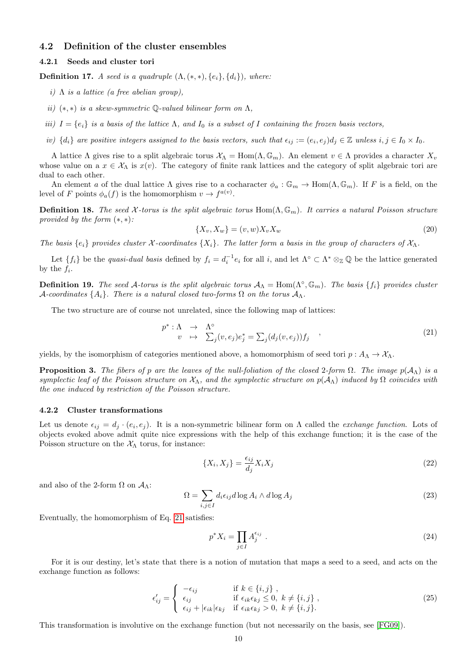### 4.2 Definition of the cluster ensembles

#### 4.2.1 Seeds and cluster tori

**Definition 17.** A seed is a quadruple  $(\Lambda, (*, *), \{e_i\}, \{d_i\})$ , where:

- i)  $\Lambda$  is a lattice (a free abelian group),
- ii)  $(*, *)$  is a skew-symmetric Q-valued bilinear form on  $\Lambda$ ,
- iii)  $I = \{e_i\}$  is a basis of the lattice  $\Lambda$ , and  $I_0$  is a subset of I containing the frozen basis vectors,
- iv)  $\{d_i\}$  are positive integers assigned to the basis vectors, such that  $\epsilon_{ij} := (e_i, e_j) d_j \in \mathbb{Z}$  unless  $i, j \in I_0 \times I_0$ .

A lattice  $\Lambda$  gives rise to a split algebraic torus  $\mathcal{X}_{\Lambda} = \text{Hom}(\Lambda, \mathbb{G}_m)$ . An element  $v \in \Lambda$  provides a character  $X_v$ whose value on a  $x \in \mathcal{X}_\Lambda$  is  $x(v)$ . The category of finite rank lattices and the category of split algebraic tori are dual to each other.

An element a of the dual lattice  $\Lambda$  gives rise to a cocharacter  $\phi_a : \mathbb{G}_m \to \text{Hom}(\Lambda, \mathbb{G}_m)$ . If F is a field, on the level of F points  $\phi_a(f)$  is the homomorphism  $v \to f^{a(v)}$ .

**Definition 18.** The seed X-torus is the split algebraic torus Hom( $\Lambda$ ,  $\mathbb{G}_m$ ). It carries a natural Poisson structure provided by the form  $(*, *)$ :

$$
\{X_v, X_w\} = (v, w)X_v X_w \tag{20}
$$

The basis  $\{e_i\}$  provides cluster X-coordinates  $\{X_i\}$ . The latter form a basis in the group of characters of  $\mathcal{X}_\Lambda$ .

Let  $\{f_i\}$  be the *quasi-dual basis* defined by  $f_i = d_i^{-1}e_i$  for all i, and let  $\Lambda^\circ \subset \Lambda^* \otimes_{\mathbb{Z}} \mathbb{Q}$  be the lattice generated by the  $f_i$ .

**Definition 19.** The seed A-torus is the split algebraic torus  $A_\Lambda = \text{Hom}(\Lambda^\circ, \mathbb{G}_m)$ . The basis  $\{f_i\}$  provides cluster A-coordinates  $\{A_i\}$ . There is a natural closed two-forms  $\Omega$  on the torus  $A_\Lambda$ .

The two structure are of course not unrelated, since the following map of lattices:

<span id="page-9-0"></span>
$$
p^* : \Lambda \to \Lambda^\circ
$$
  
\n
$$
v \mapsto \sum_j (v, e_j) e_j^* = \sum_j (d_j(v, e_j)) f_j
$$
\n(21)

yields, by the isomorphism of categories mentioned above, a homomorphism of seed tori  $p : A_{\Lambda} \to \mathcal{X}_{\Lambda}$ .

**Proposition 3.** The fibers of p are the leaves of the null-foliation of the closed 2-form  $\Omega$ . The image  $p(A_{\Lambda})$  is a symplectic leaf of the Poisson structure on  $\mathcal{X}_\Lambda$ , and the symplectic structure on  $p(\mathcal{A}_\Lambda)$  induced by  $\Omega$  coincides with the one induced by restriction of the Poisson structure.

#### 4.2.2 Cluster transformations

Let us denote  $\epsilon_{ij} = d_j \cdot (e_i, e_j)$ . It is a non-symmetric bilinear form on  $\Lambda$  called the *exchange function*. Lots of objects evoked above admit quite nice expressions with the help of this exchange function; it is the case of the Poisson structure on the  $X_{\Lambda}$  torus, for instance:

$$
\{X_i, X_j\} = \frac{\epsilon_{ij}}{d_j} X_i X_j \tag{22}
$$

and also of the 2-form  $\Omega$  on  $\mathcal{A}_{\Lambda}$ :

$$
\Omega = \sum_{i,j \in I} d_i \epsilon_{ij} d \log A_i \wedge d \log A_j \tag{23}
$$

Eventually, the homomorphism of Eq. [21](#page-9-0) satisfies:

$$
p^*X_i = \prod_{j \in I} A_j^{\epsilon_{ij}} \tag{24}
$$

For it is our destiny, let's state that there is a notion of mutation that maps a seed to a seed, and acts on the exchange function as follows:

$$
\epsilon'_{ij} = \begin{cases}\n-\epsilon_{ij} & \text{if } k \in \{i, j\}, \\
\epsilon_{ij} & \text{if } \epsilon_{ik}\epsilon_{kj} \leq 0, \ k \neq \{i, j\}, \\
\epsilon_{ij} + |\epsilon_{ik}| \epsilon_{kj} & \text{if } \epsilon_{ik}\epsilon_{kj} > 0, \ k \neq \{i, j\}.\n\end{cases}
$$
\n(25)

This transformation is involutive on the exchange function (but not necessarily on the basis, see [\[FG09\]](#page-15-2)).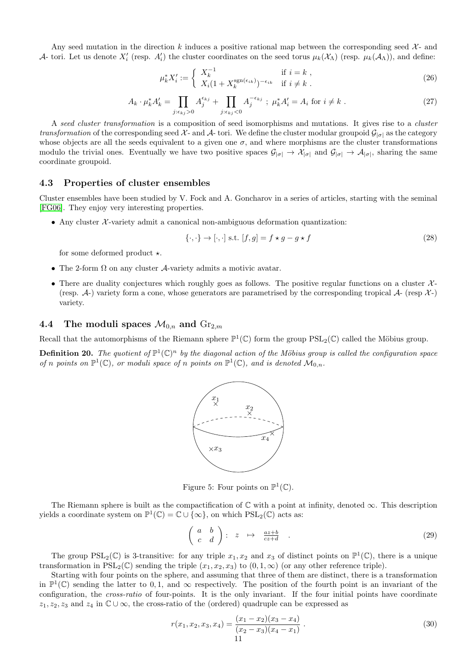Any seed mutation in the direction k induces a positive rational map between the corresponding seed  $\mathcal{X}$ - and A- tori. Let us denote  $X_i'$  (resp.  $A_i'$ ) the cluster coordinates on the seed torus  $\mu_k(\mathcal{X}_\Lambda)$  (resp.  $\mu_k(\mathcal{A}_\Lambda)$ ), and define:

$$
\mu_k^* X_i' := \begin{cases} X_k^{-1} & \text{if } i = k \\ X_i (1 + X_k^{\text{sgn}(\epsilon_{ik})})^{-\epsilon_{ik}} & \text{if } i \neq k \end{cases} \tag{26}
$$

$$
A_k \cdot \mu_k^* A'_k = \prod_{j: \epsilon_{kj} > 0} A_j^{\epsilon_{kj}} + \prod_{j: \epsilon_{kj} < 0} A_j^{-\epsilon_{kj}}; \ \mu_k^* A'_i = A_i \text{ for } i \neq k \ . \tag{27}
$$

A seed cluster transformation is a composition of seed isomorphisms and mutations. It gives rise to a cluster transformation of the corresponding seed  $\mathcal{X}$ - and  $\mathcal{A}$ - tori. We define the cluster modular groupoid  $\mathcal{G}_{|\sigma|}$  as the category whose objects are all the seeds equivalent to a given one  $\sigma$ , and where morphisms are the cluster transformations modulo the trivial ones. Eventually we have two positive spaces  $\mathcal{G}_{|\sigma|} \to \mathcal{X}_{|\sigma|}$  and  $\mathcal{G}_{|\sigma|} \to \mathcal{A}_{|\sigma|}$ , sharing the same coordinate groupoid.

### 4.3 Properties of cluster ensembles

Cluster ensembles have been studied by V. Fock and A. Goncharov in a series of articles, starting with the seminal [\[FG06\]](#page-15-10). They enjoy very interesting properties.

• Any cluster  $\mathcal{X}$ -variety admit a canonical non-ambiguous deformation quantization:

$$
\{\cdot,\cdot\} \to [\cdot,\cdot] \text{ s.t. } [f,g] = f \star g - g \star f \tag{28}
$$

for some deformed product  $\star$ .

- The 2-form  $\Omega$  on any cluster A-variety admits a motivic avatar.
- There are duality conjectures which roughly goes as follows. The positive regular functions on a cluster  $\mathcal{X}$ -(resp.  $\mathcal{A}$ -) variety form a cone, whose generators are parametrised by the corresponding tropical  $\mathcal{A}$ - (resp  $\mathcal{X}$ -) variety.

### <span id="page-10-0"></span>4.4 The moduli spaces  $\mathcal{M}_{0,n}$  and  $\text{Gr}_{2,m}$

Recall that the automorphisms of the Riemann sphere  $\mathbb{P}^1(\mathbb{C})$  form the group  $PSL_2(\mathbb{C})$  called the Möbius group.

**Definition 20.** The quotient of  $\mathbb{P}^1(\mathbb{C})^n$  by the diagonal action of the Möbius group is called the configuration space of n points on  $\mathbb{P}^1(\mathbb{C})$ , or moduli space of n points on  $\mathbb{P}^1(\mathbb{C})$ , and is denoted  $\mathcal{M}_{0,n}$ .



Figure 5: Four points on  $\mathbb{P}^1(\mathbb{C})$ .

The Riemann sphere is built as the compactification of  $\mathbb C$  with a point at infinity, denoted  $\infty$ . This description yields a coordinate system on  $\mathbb{P}^1(\mathbb{C}) = \mathbb{C} \cup \{\infty\}$ , on which  $PSL_2(\mathbb{C})$  acts as:

$$
\left(\begin{array}{cc} a & b \\ c & d \end{array}\right) : z \mapsto \frac{az+b}{cz+d} \quad . \tag{29}
$$

The group  $PSL_2(\mathbb{C})$  is 3-transitive: for any triple  $x_1, x_2$  and  $x_3$  of distinct points on  $\mathbb{P}^1(\mathbb{C})$ , there is a unique transformation in  $PSL_2(\mathbb{C})$  sending the triple  $(x_1, x_2, x_3)$  to  $(0, 1, \infty)$  (or any other reference triple).

Starting with four points on the sphere, and assuming that three of them are distinct, there is a transformation in  $\mathbb{P}^1(\mathbb{C})$  sending the latter to 0, 1, and  $\infty$  respectively. The position of the fourth point is an invariant of the configuration, the cross-ratio of four-points. It is the only invariant. If the four initial points have coordinate  $z_1, z_2, z_3$  and  $z_4$  in  $\mathbb{C} \cup \infty$ , the cross-ratio of the (ordered) quadruple can be expressed as

$$
r(x_1, x_2, x_3, x_4) = \frac{(x_1 - x_2)(x_3 - x_4)}{(x_2 - x_3)(x_4 - x_1)}.
$$
\n(30)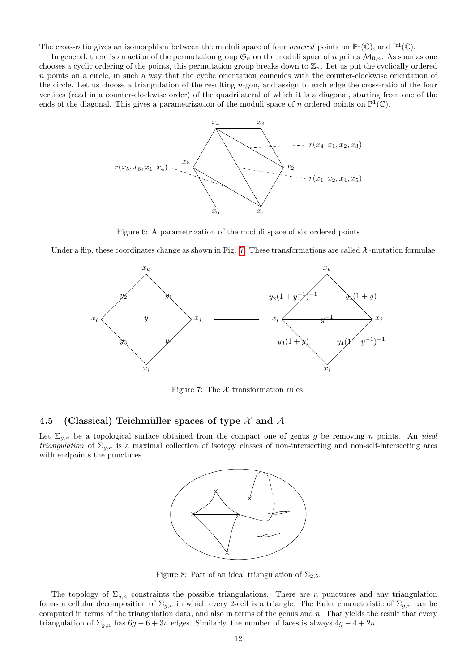The cross-ratio gives an isomorphism between the moduli space of four *ordered* points on  $\mathbb{P}^1(\mathbb{C})$ , and  $\mathbb{P}^1(\mathbb{C})$ .

In general, there is an action of the permutation group  $\mathfrak{S}_n$  on the moduli space of n points  $\mathcal{M}_{0,n}$ . As soon as one chooses a cyclic ordering of the points, this permutation group breaks down to  $\mathbb{Z}_n$ . Let us put the cyclically ordered  $n$  points on a circle, in such a way that the cyclic orientation coincides with the counter-clockwise orientation of the circle. Let us choose a triangulation of the resulting  $n$ -gon, and assign to each edge the cross-ratio of the four vertices (read in a counter-clockwise order) of the quadrilateral of which it is a diagonal, starting from one of the ends of the diagonal. This gives a parametrization of the moduli space of n ordered points on  $\mathbb{P}^1(\mathbb{C})$ .



Figure 6: A parametrization of the moduli space of six ordered points

Under a flip, these coordinates change as shown in Fig. [7.](#page-11-0) These transformations are called  $\mathcal{X}$ -mutation formulae.



<span id="page-11-0"></span>Figure 7: The  $X$  transformation rules.

### 4.5 (Classical) Teichmüller spaces of type  $\mathcal X$  and  $\mathcal A$

Let  $\Sigma_{g,n}$  be a topological surface obtained from the compact one of genus g be removing n points. An ideal *triangulation* of  $\Sigma_{g,n}$  is a maximal collection of isotopy classes of non-intersecting and non-self-intersecting arcs with endpoints the punctures.



Figure 8: Part of an ideal triangulation of  $\Sigma_{2,5}$ .

The topology of  $\Sigma_{g,n}$  constraints the possible triangulations. There are n punctures and any triangulation forms a cellular decomposition of  $\Sigma_{g,n}$  in which every 2-cell is a triangle. The Euler characteristic of  $\Sigma_{g,n}$  can be computed in terms of the triangulation data, and also in terms of the genus and  $n$ . That yields the result that every triangulation of  $\Sigma_{g,n}$  has  $6g - 6 + 3n$  edges. Similarly, the number of faces is always  $4g - 4 + 2n$ .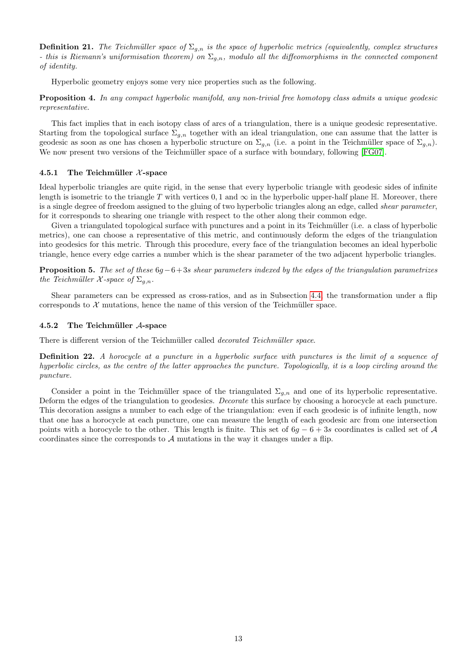**Definition 21.** The Teichmüller space of  $\Sigma_{g,n}$  is the space of hyperbolic metrics (equivalently, complex structures - this is Riemann's uniformisation theorem) on  $\Sigma_{q,n}$ , modulo all the diffeomorphisms in the connected component of identity.

Hyperbolic geometry enjoys some very nice properties such as the following.

Proposition 4. In any compact hyperbolic manifold, any non-trivial free homotopy class admits a unique geodesic representative.

This fact implies that in each isotopy class of arcs of a triangulation, there is a unique geodesic representative. Starting from the topological surface  $\Sigma_{g,n}$  together with an ideal triangulation, one can assume that the latter is geodesic as soon as one has chosen a hyperbolic structure on  $\Sigma_{a,n}$  (i.e. a point in the Teichmüller space of  $\Sigma_{a,n}$ ). We now present two versions of the Teichmüller space of a surface with boundary, following [\[FG07\]](#page-15-3).

#### 4.5.1 The Teichmüller  $\chi$ -space

Ideal hyperbolic triangles are quite rigid, in the sense that every hyperbolic triangle with geodesic sides of infinite length is isometric to the triangle T with vertices 0, 1 and  $\infty$  in the hyperbolic upper-half plane H. Moreover, there is a single degree of freedom assigned to the gluing of two hyperbolic triangles along an edge, called *shear parameter*. for it corresponds to shearing one triangle with respect to the other along their common edge.

Given a triangulated topological surface with punctures and a point in its Teichmüller (i.e. a class of hyperbolic metrics), one can choose a representative of this metric, and continuously deform the edges of the triangulation into geodesics for this metric. Through this procedure, every face of the triangulation becomes an ideal hyperbolic triangle, hence every edge carries a number which is the shear parameter of the two adjacent hyperbolic triangles.

**Proposition 5.** The set of these  $6g-6+3s$  shear parameters indexed by the edges of the triangulation parametrizes the Teichmüller  $\mathcal X$ -space of  $\Sigma_{g,n}$ .

Shear parameters can be expressed as cross-ratios, and as in Subsection [4.4,](#page-10-0) the transformation under a flip corresponds to  $X$  mutations, hence the name of this version of the Teichmüller space.

### 4.5.2 The Teichmüller  $A$ -space

There is different version of the Teichmüller called *decorated Teichmüller space*.

Definition 22. A horocycle at a puncture in a hyperbolic surface with punctures is the limit of a sequence of hyperbolic circles, as the centre of the latter approaches the puncture. Topologically, it is a loop circling around the puncture.

Consider a point in the Teichmüller space of the triangulated  $\Sigma_{g,n}$  and one of its hyperbolic representative. Deform the edges of the triangulation to geodesics. *Decorate* this surface by choosing a horocycle at each puncture. This decoration assigns a number to each edge of the triangulation: even if each geodesic is of infinite length, now that one has a horocycle at each puncture, one can measure the length of each geodesic arc from one intersection points with a horocycle to the other. This length is finite. This set of  $6g - 6 + 3s$  coordinates is called set of A coordinates since the corresponds to  $A$  mutations in the way it changes under a flip.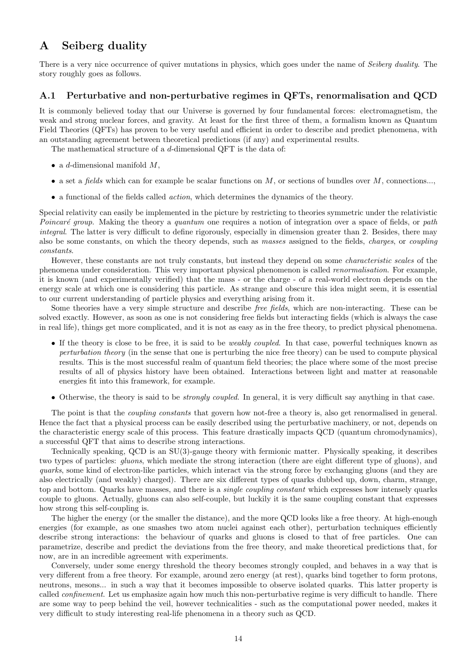# A Seiberg duality

There is a very nice occurrence of quiver mutations in physics, which goes under the name of Seiberg duality. The story roughly goes as follows.

### A.1 Perturbative and non-perturbative regimes in QFTs, renormalisation and QCD

It is commonly believed today that our Universe is governed by four fundamental forces: electromagnetism, the weak and strong nuclear forces, and gravity. At least for the first three of them, a formalism known as Quantum Field Theories (QFTs) has proven to be very useful and efficient in order to describe and predict phenomena, with an outstanding agreement between theoretical predictions (if any) and experimental results.

The mathematical structure of a d-dimensional QFT is the data of:

- a *d*-dimensional manifold  $M$ ,
- a set a *fields* which can for example be scalar functions on  $M$ , or sections of bundles over  $M$ , connections...,
- a functional of the fields called action, which determines the dynamics of the theory.

Special relativity can easily be implemented in the picture by restricting to theories symmetric under the relativistic Poincaré group. Making the theory a quantum one requires a notion of integration over a space of fields, or path integral. The latter is very difficult to define rigorously, especially in dimension greater than 2. Besides, there may also be some constants, on which the theory depends, such as masses assigned to the fields, charges, or coupling constants.

However, these constants are not truly constants, but instead they depend on some characteristic scales of the phenomena under consideration. This very important physical phenomenon is called renormalisation. For example, it is known (and experimentally verified) that the mass - or the charge - of a real-world electron depends on the energy scale at which one is considering this particle. As strange and obscure this idea might seem, it is essential to our current understanding of particle physics and everything arising from it.

Some theories have a very simple structure and describe free fields, which are non-interacting. These can be solved exactly. However, as soon as one is not considering free fields but interacting fields (which is always the case in real life), things get more complicated, and it is not as easy as in the free theory, to predict physical phenomena.

- If the theory is close to be free, it is said to be weakly coupled. In that case, powerful techniques known as perturbation theory (in the sense that one is perturbing the nice free theory) can be used to compute physical results. This is the most successful realm of quantum field theories; the place where some of the most precise results of all of physics history have been obtained. Interactions between light and matter at reasonable energies fit into this framework, for example.
- Otherwise, the theory is said to be *strongly coupled*. In general, it is very difficult say anything in that case.

The point is that the *coupling constants* that govern how not-free a theory is, also get renormalised in general. Hence the fact that a physical process can be easily described using the perturbative machinery, or not, depends on the characteristic energy scale of this process. This feature drastically impacts QCD (quantum chromodynamics), a successful QFT that aims to describe strong interactions.

Technically speaking, QCD is an SU(3)-gauge theory with fermionic matter. Physically speaking, it describes two types of particles: *gluons*, which mediate the strong interaction (there are eight different type of gluons), and quarks, some kind of electron-like particles, which interact via the strong force by exchanging gluons (and they are also electrically (and weakly) charged). There are six different types of quarks dubbed up, down, charm, strange, top and bottom. Quarks have masses, and there is a *single coupling constant* which expresses how intensely quarks couple to gluons. Actually, gluons can also self-couple, but luckily it is the same coupling constant that expresses how strong this self-coupling is.

The higher the energy (or the smaller the distance), and the more QCD looks like a free theory. At high-enough energies (for example, as one smashes two atom nuclei against each other), perturbation techniques efficiently describe strong interactions: the behaviour of quarks and gluons is closed to that of free particles. One can parametrize, describe and predict the deviations from the free theory, and make theoretical predictions that, for now, are in an incredible agreement with experiments.

Conversely, under some energy threshold the theory becomes strongly coupled, and behaves in a way that is very different from a free theory. For example, around zero energy (at rest), quarks bind together to form protons, neutrons, mesons... in such a way that it becomes impossible to observe isolated quarks. This latter property is called confinement. Let us emphasize again how much this non-perturbative regime is very difficult to handle. There are some way to peep behind the veil, however technicalities - such as the computational power needed, makes it very difficult to study interesting real-life phenomena in a theory such as QCD.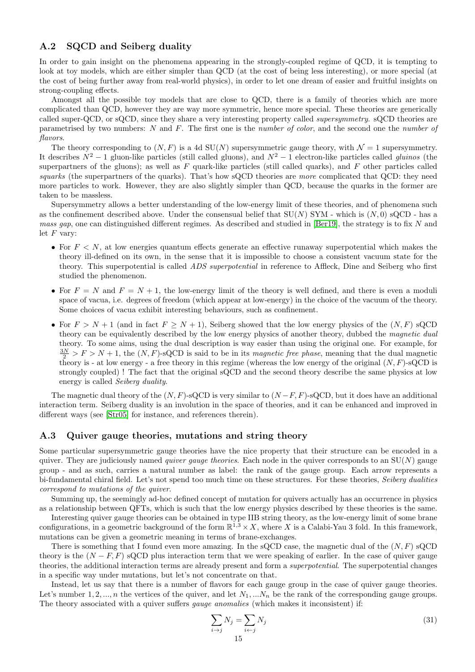## A.2 SQCD and Seiberg duality

In order to gain insight on the phenomena appearing in the strongly-coupled regime of QCD, it is tempting to look at toy models, which are either simpler than QCD (at the cost of being less interesting), or more special (at the cost of being further away from real-world physics), in order to let one dream of easier and fruitful insights on strong-coupling effects.

Amongst all the possible toy models that are close to QCD, there is a family of theories which are more complicated than QCD, however they are way more symmetric, hence more special. These theories are generically called super-QCD, or sQCD, since they share a very interesting property called supersymmetry. sQCD theories are parametrised by two numbers: N and F. The first one is the number of color, and the second one the number of flavors.

The theory corresponding to  $(N, F)$  is a 4d  $SU(N)$  supersymmetric gauge theory, with  $\mathcal{N} = 1$  supersymmetry. It describes  $N^2 - 1$  gluon-like particles (still called gluons), and  $N^2 - 1$  electron-like particles called *gluinos* (the superpartners of the gluons); as well as  $F$  quark-like particles (still called quarks), and  $F$  other particles called squarks (the superpartners of the quarks). That's how sQCD theories are more complicated that QCD: they need more particles to work. However, they are also slightly simpler than QCD, because the quarks in the former are taken to be massless.

Supersymmetry allows a better understanding of the low-energy limit of these theories, and of phenomena such as the confinement described above. Under the consensual belief that  $SU(N)$  SYM - which is  $(N,0)$  sQCD - has a *mass gap*, one can distinguished different regimes. As described and studied in [\[Ber19\]](#page-15-4), the strategy is to fix N and let  $F$  vary:

- For  $F < N$ , at low energies quantum effects generate an effective runaway superpotential which makes the theory ill-defined on its own, in the sense that it is impossible to choose a consistent vacuum state for the theory. This superpotential is called ADS superpotential in reference to Affleck, Dine and Seiberg who first studied the phenomenon.
- For  $F = N$  and  $F = N + 1$ , the low-energy limit of the theory is well defined, and there is even a moduli space of vacua, i.e. degrees of freedom (which appear at low-energy) in the choice of the vacuum of the theory. Some choices of vacua exhibit interesting behaviours, such as confinement.
- For  $F > N + 1$  (and in fact  $F \ge N + 1$ ), Seiberg showed that the low energy physics of the  $(N, F)$  sQCD theory can be equivalently described by the low energy physics of another theory, dubbed the magnetic dual theory. To some aims, using the dual description is way easier than using the original one. For example, for  $\frac{3N}{2} > F > N + 1$ , the  $(N, F)$ -sQCD is said to be in its *magnetic free phase*, meaning that the dual magnetic theory is - at low energy - a free theory in this regime (whereas the low energy of the original  $(N, F)$ -sQCD is strongly coupled) ! The fact that the original sQCD and the second theory describe the same physics at low energy is called Seiberg duality.

The magnetic dual theory of the  $(N, F)$ -sQCD is very similar to  $(N-F, F)$ -sQCD, but it does have an additional interaction term. Seiberg duality is an involution in the space of theories, and it can be enhanced and improved in different ways (see [\[Str05\]](#page-15-11) for instance, and references therein).

### A.3 Quiver gauge theories, mutations and string theory

Some particular supersymmetric gauge theories have the nice property that their structure can be encoded in a quiver. They are judiciously named *quiver gauge theories*. Each node in the quiver corresponds to an  $SU(N)$  gauge group - and as such, carries a natural number as label: the rank of the gauge group. Each arrow represents a bi-fundamental chiral field. Let's not spend too much time on these structures. For these theories, Seiberg dualities correspond to mutations of the quiver.

Summing up, the seemingly ad-hoc defined concept of mutation for quivers actually has an occurrence in physics as a relationship between QFTs, which is such that the low energy physics described by these theories is the same.

Interesting quiver gauge theories can be obtained in type IIB string theory, as the low-energy limit of some brane configurations, in a geometric background of the form  $\mathbb{R}^{1,3} \times X$ , where X is a Calabi-Yau 3 fold. In this framework, mutations can be given a geometric meaning in terms of brane-exchanges.

There is something that I found even more amazing. In the sQCD case, the magnetic dual of the  $(N, F)$  sQCD theory is the  $(N - F, F)$  sQCD plus interaction term that we were speaking of earlier. In the case of quiver gauge theories, the additional interaction terms are already present and form a *superpotential*. The superpotential changes in a specific way under mutations, but let's not concentrate on that.

Instead, let us say that there is a number of flavors for each gauge group in the case of quiver gauge theories. Let's number 1, 2, ..., n the vertices of the quiver, and let  $N_1, \ldots, N_n$  be the rank of the corresponding gauge groups. The theory associated with a quiver suffers gauge anomalies (which makes it inconsistent) if:

<span id="page-14-0"></span>
$$
\sum_{i \to j} N_j = \sum_{i \leftarrow j} N_j \tag{31}
$$